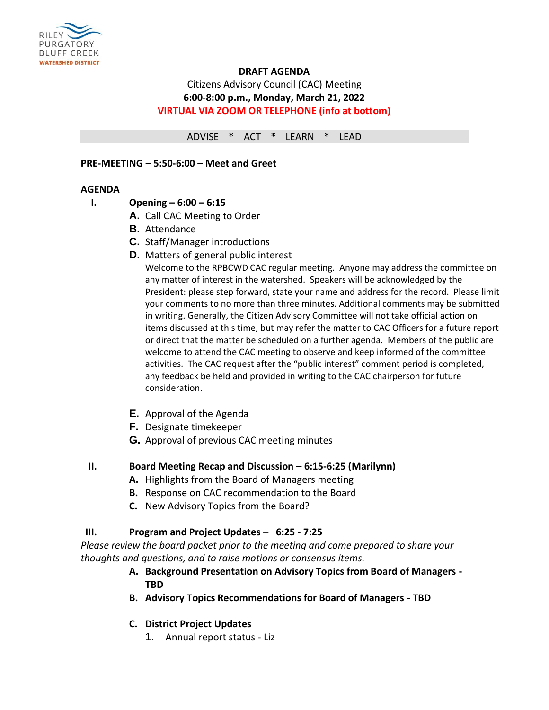

# **DRAFT AGENDA**

# Citizens Advisory Council (CAC) Meeting **6:00-8:00 p.m., Monday, March 21, 2022 VIRTUAL VIA ZOOM OR TELEPHONE (info at bottom)**

ADVISE \* ACT \* LEARN \* LEAD

### **PRE-MEETING – 5:50-6:00 – Meet and Greet**

### **AGENDA**

- **I. Opening – 6:00 – 6:15**
	- **A.** Call CAC Meeting to Order
	- **B.** Attendance
	- **C.** Staff/Manager introductions
	- **D.** Matters of general public interest

Welcome to the RPBCWD CAC regular meeting. Anyone may address the committee on any matter of interest in the watershed. Speakers will be acknowledged by the President: please step forward, state your name and address for the record. Please limit your comments to no more than three minutes. Additional comments may be submitted in writing. Generally, the Citizen Advisory Committee will not take official action on items discussed at this time, but may refer the matter to CAC Officers for a future report or direct that the matter be scheduled on a further agenda. Members of the public are welcome to attend the CAC meeting to observe and keep informed of the committee activities. The CAC request after the "public interest" comment period is completed, any feedback be held and provided in writing to the CAC chairperson for future consideration.

- **E.** Approval of the Agenda
- **F.** Designate timekeeper
- **G.** Approval of previous CAC meeting minutes

# **II. Board Meeting Recap and Discussion – 6:15-6:25 (Marilynn)**

- **A.** Highlights from the Board of Managers meeting
- **B.** Response on CAC recommendation to the Board
- **C.** New Advisory Topics from the Board?

# **III. Program and Project Updates – 6:25 - 7:25**

*Please review the board packet prior to the meeting and come prepared to share your thoughts and questions, and to raise motions or consensus items.*

- **A. Background Presentation on Advisory Topics from Board of Managers - TBD**
- **B. Advisory Topics Recommendations for Board of Managers - TBD**
- **C. District Project Updates**
	- 1. Annual report status Liz